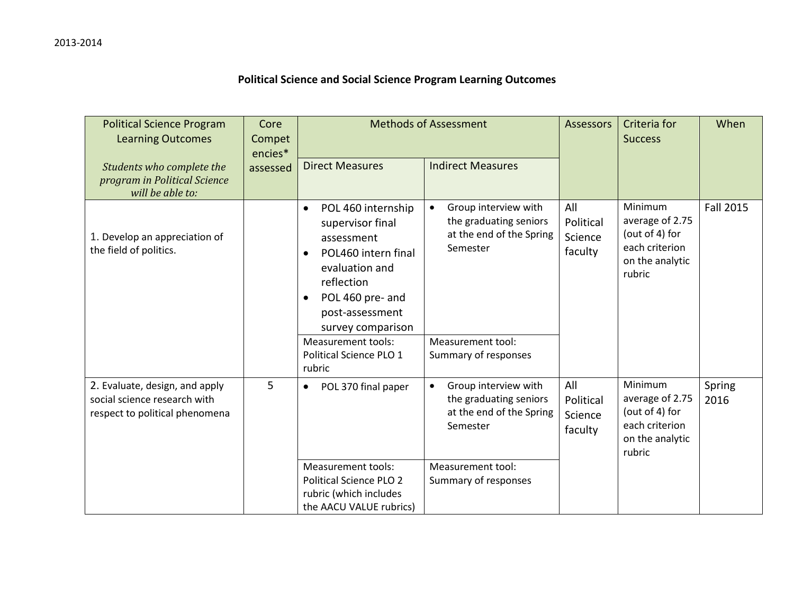## **Political Science and Social Science Program Learning Outcomes**

| <b>Political Science Program</b><br><b>Learning Outcomes</b>                                     | Core<br>Compet<br>encies* | <b>Methods of Assessment</b>                                                                                                                                                                                                                                           |                                                                                                                                                  | <b>Assessors</b>                       | Criteria for<br><b>Success</b>                                                              | When             |
|--------------------------------------------------------------------------------------------------|---------------------------|------------------------------------------------------------------------------------------------------------------------------------------------------------------------------------------------------------------------------------------------------------------------|--------------------------------------------------------------------------------------------------------------------------------------------------|----------------------------------------|---------------------------------------------------------------------------------------------|------------------|
| Students who complete the<br>program in Political Science<br>will be able to:                    | assessed                  | <b>Direct Measures</b>                                                                                                                                                                                                                                                 | <b>Indirect Measures</b>                                                                                                                         |                                        |                                                                                             |                  |
| 1. Develop an appreciation of<br>the field of politics.                                          |                           | POL 460 internship<br>$\bullet$<br>supervisor final<br>assessment<br>POL460 intern final<br>$\bullet$<br>evaluation and<br>reflection<br>POL 460 pre- and<br>$\bullet$<br>post-assessment<br>survey comparison<br><b>Measurement tools:</b><br>Political Science PLO 1 | Group interview with<br>$\bullet$<br>the graduating seniors<br>at the end of the Spring<br>Semester<br>Measurement tool:<br>Summary of responses | All<br>Political<br>Science<br>faculty | Minimum<br>average of 2.75<br>(out of 4) for<br>each criterion<br>on the analytic<br>rubric | <b>Fall 2015</b> |
|                                                                                                  |                           | rubric                                                                                                                                                                                                                                                                 |                                                                                                                                                  |                                        |                                                                                             |                  |
| 2. Evaluate, design, and apply<br>social science research with<br>respect to political phenomena | 5                         | POL 370 final paper<br>$\bullet$                                                                                                                                                                                                                                       | Group interview with<br>$\bullet$<br>the graduating seniors<br>at the end of the Spring<br>Semester                                              | All<br>Political<br>Science<br>faculty | Minimum<br>average of 2.75<br>(out of 4) for<br>each criterion<br>on the analytic<br>rubric | Spring<br>2016   |
|                                                                                                  |                           | <b>Measurement tools:</b><br><b>Political Science PLO 2</b><br>rubric (which includes<br>the AACU VALUE rubrics)                                                                                                                                                       | Measurement tool:<br>Summary of responses                                                                                                        |                                        |                                                                                             |                  |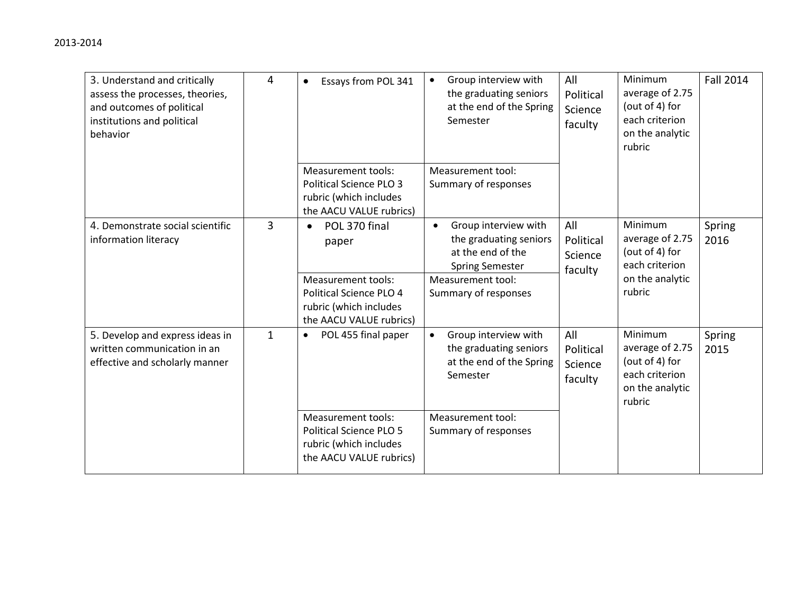| 3. Understand and critically<br>assess the processes, theories,<br>and outcomes of political<br>institutions and political<br>behavior | $\overline{4}$ | Essays from POL 341<br>$\bullet$                                                                                                                 | Group interview with<br>$\bullet$<br>the graduating seniors<br>at the end of the Spring<br>Semester                                                     | All<br>Political<br>Science<br>faculty | Minimum<br>average of 2.75<br>(out of 4) for<br>each criterion<br>on the analytic<br>rubric | <b>Fall 2014</b> |
|----------------------------------------------------------------------------------------------------------------------------------------|----------------|--------------------------------------------------------------------------------------------------------------------------------------------------|---------------------------------------------------------------------------------------------------------------------------------------------------------|----------------------------------------|---------------------------------------------------------------------------------------------|------------------|
|                                                                                                                                        |                | <b>Measurement tools:</b><br><b>Political Science PLO 3</b><br>rubric (which includes<br>the AACU VALUE rubrics)                                 | Measurement tool:<br>Summary of responses                                                                                                               |                                        |                                                                                             |                  |
| 4. Demonstrate social scientific<br>information literacy                                                                               | $\overline{3}$ | POL 370 final<br>$\bullet$<br>paper<br><b>Measurement tools:</b><br>Political Science PLO 4<br>rubric (which includes<br>the AACU VALUE rubrics) | Group interview with<br>$\bullet$<br>the graduating seniors<br>at the end of the<br><b>Spring Semester</b><br>Measurement tool:<br>Summary of responses | All<br>Political<br>Science<br>faculty | Minimum<br>average of 2.75<br>(out of 4) for<br>each criterion<br>on the analytic<br>rubric | Spring<br>2016   |
| 5. Develop and express ideas in<br>written communication in an<br>effective and scholarly manner                                       | $\mathbf{1}$   | POL 455 final paper<br>$\bullet$                                                                                                                 | Group interview with<br>$\bullet$<br>the graduating seniors<br>at the end of the Spring<br>Semester                                                     | All<br>Political<br>Science<br>faculty | Minimum<br>average of 2.75<br>(out of 4) for<br>each criterion<br>on the analytic<br>rubric | Spring<br>2015   |
|                                                                                                                                        |                | <b>Measurement tools:</b><br><b>Political Science PLO 5</b><br>rubric (which includes<br>the AACU VALUE rubrics)                                 | Measurement tool:<br>Summary of responses                                                                                                               |                                        |                                                                                             |                  |